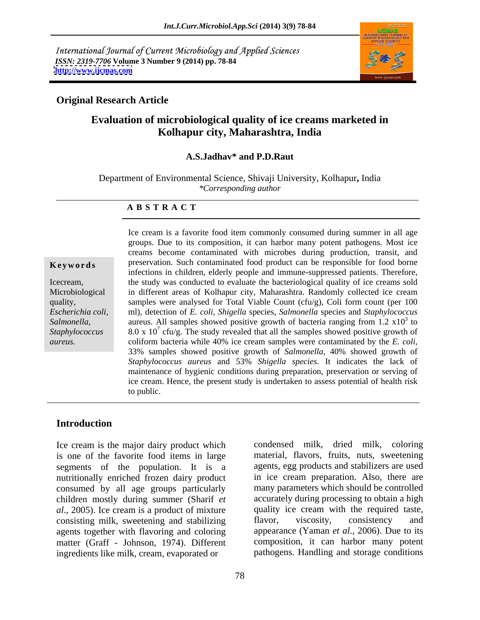International Journal of Current Microbiology and Applied Sciences *ISSN: 2319-7706* **Volume 3 Number 9 (2014) pp. 78-84 <http://www.ijcmas.com>**



## **Original Research Article**

# **Evaluation of microbiological quality of ice creams marketed in Kolhapur city, Maharashtra, India**

## **A.S.Jadhav\* and P.D.Raut**

Department of Environmental Science, Shivaji University, Kolhapur**,** India *\*Corresponding author*

### **A B S T R A C T**

**Keywords** preservation. Such contaminated food product can be responsible for food borne Icecream, the study was conducted to evaluate the bacteriological quality of ice creams sold Microbiological in different areas of Kolhapur city, Maharashtra. Randomly collected ice cream quality, samples were analysed for Total Viable Count (cfu/g), Coli form count (per 100 *Escherichia coli,*  ml), detection of *E. coli, Shigella* species, *Salmonella* species and *Staphylococcus*  Salmonella, aureus. All samples showed positive growth of bacteria ranging from 1.2 x10<sup>3</sup> to *Staphylococcus* 8.0 x  $10^7$  cfu/g. The study revealed that all the samples showed positive growth of *aureus.* coliform bacteria while 40% ice cream samples were contaminated by the E. coli. Ice cream is a favorite food item commonly consumed during summer in all age groups. Due to its composition, it can harbor many potent pathogens. Most ice creams become contaminated with microbes during production, transit, and infections in children, elderly people and immune-suppressed patients. Therefore, to coliform bacteria while 40% ice cream samples were contaminated by the *E. coli*, 33% samples showed positive growth of *Salmonella*, 40% showed growth of *Staphylococcus aureus* and 53% *Shigella species*. It indicates the lack of maintenance of hygienic conditions during preparation, preservation or serving of ice cream. Hence, the present study is undertaken to assess potential of health risk to public.

### **Introduction**

Ice cream is the major dairy product which is one of the favorite food items in large segments of the population. It is a nutritionally enriched frozen dairy product consumed by all age groups particularly children mostly during summer (Sharif *et al*., 2005). Ice cream is a product of mixture consisting milk, sweetening and stabilizing flavor, viscosity, consistency and agents together with flavoring and coloring matter (Graff - Johnson, 1974). Different ingredients like milk, cream, evaporated or

condensed milk, dried milk, coloring material, flavors, fruits, nuts, sweetening agents, egg products and stabilizers are used in ice cream preparation. Also, there are many parameters which should be controlled accurately during processing to obtain a high quality ice cream with the required taste, flavor, viscosity, consistency and appearance (Yaman *et al*., 2006). Due to its composition, it can harbor many potent pathogens. Handling and storage conditions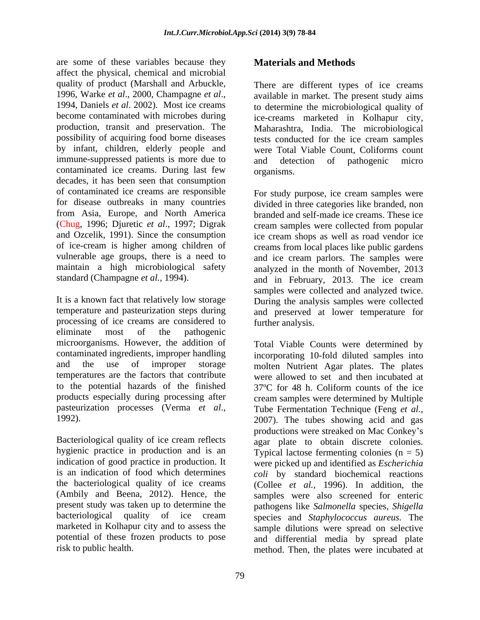are some of these variables because they affect the physical, chemical and microbial quality of product (Marshall and Arbuckle, There are different types of ice creams<br>1996, Warke *et al.*, 2000, Champagne *et al.*, available in market. The present study aims<br>1994, Daniels *et al.* 2002). Most ice creams t become contaminated with microbes during ice-creams marketed in Kolhapur city, production, transit and preservation. The Maharashtra, India. The microbiological possibility of acquiring food borne diseases tests conducted for the ice cream samples by infant, children, elderly people and immune-suppressed patients is more due to and detection of pathogenic micro contaminated ice creams. During last few decades, it has been seen that consumption of contaminated ice creams are responsible For study purpose, ice cream samples were (Chug, 1996; Djuretic *et al*., 1997; Digrak

It is a known fact that relatively low storage During the analysis samples were collected temperature and pasteurization steps during and preserved at lower temperature for processing of ice creams are considered to eliminate most of the pathogenic microorganisms. However, the addition of Total Viable Counts were determined by temperatures are the factors that contribute

# **Materials and Methods**

There are different types of ice creams available in market. The present study aims to determine the microbiological quality of were Total Viable Count, Coliforms count and detection of pathogenic micro organisms.

for disease outbreaks in many countries divided in three categories like branded, non from Asia, Europe, and North America branded and self-made ice creams. These ice and Ozcelik, 1991). Since the consumption ice cream shops as well as road vendor ice of ice-cream is higher among children of creams from local places like public gardens vulnerable age groups, there is a need to and ice cream parlors. The samples were maintain a high microbiological safety analyzed in the month of November, 2013 standard (Champagne *et al.,* 1994). and in February, 2013. The ice cream cream samples were collected from popular samples were collected and analyzed twice. During the analysis samples were collected further analysis.

contaminated ingredients, improper handling incorporating 10-fold diluted samples into and the use of improper storage molten Nutrient Agar plates. The plates to the potential hazards of the finished 37ºC for 48 h. Coliform counts of the ice products especially during processing after cream samples were determined by Multiple pasteurization processes (Verma *et al.*, Tube Fermentation Technique (Feng *et al.*, 1992). 2007). The tubes showing acid and gas Bacteriological quality of ice cream reflects agar plate to obtain discrete colonies. hygienic practice in production and is an  $\Gamma$ ypical lactose fermenting colonies (n = 5) indication of good practice in production. It were picked up and identified as *Escherichia* is an indication of food which determines *coli* by standard biochemical reactions the bacteriological quality of ice creams (Collee *et al.,* 1996). In addition, the (Ambily and Beena, 2012). Hence, the samples were also screened for enteric present study was taken up to determine the pathogens like *Salmonella* species, *Shigella*  bacteriological quality of ice cream species and *Staphylococcus aureus.* The marketed in Kolhapur city and to assess the sample dilutions were spread on selective potential of these frozen products to pose and differential media by spread plate risk to public health. method. Then, the plates were incubated atwere allowed to set and then incubated at Tube Fermentation Technique (Feng *et al.,* 2007). The tubes showing acid and gas productions were streaked on Mac Conkey's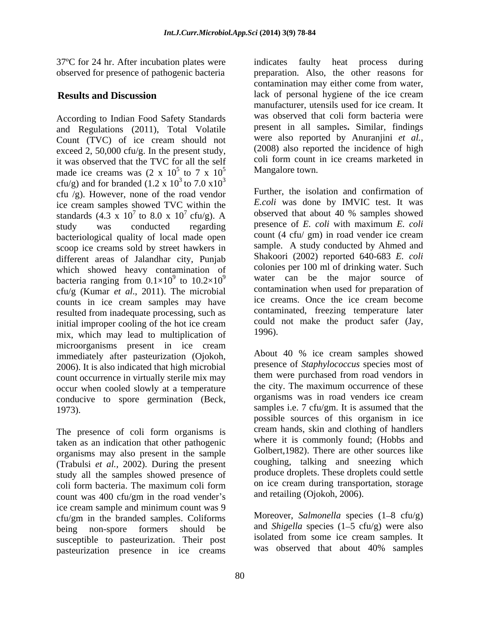37<sup>o</sup>C for 24 hr. After incubation plates were indicates faulty heat process during observed for presence of pathogenic bacteria

According to Indian Food Safety Standards and Regulations (2011), Total Volatile Count (TVC) of ice cream should not exceed 2, 50,000 cfu/g. In the present study, it was observed that the TVC for all the self<br>made ice creams was  $(2 \times 10^5$  to  $7 \times 10^5$  Mangalore town. made ice creams was  $(2 \times 10^5$  to 7 x  $10^5$ cfu/g) and for branded (1.2 x 10<sup>3</sup> to 7.0 x10<sup>3</sup><br>cfu (g) However, none of the road vendor<br>Further, the isolation and confirmation of cfu /g). However, none of the road vendor ice cream samples showed TVC within the standards  $(4.3 \times 10^7 \text{ to } 8.0 \times 10^7 \text{ cftu/g}).$  A bacteriological quality of local made open scoop ice creams sold by street hawkers in different areas of Jalandhar city, Punjab which showed heavy contamination of bacteria ranging from  $0.1 \times 10^9$  to  $10.2 \times 10^9$ cfu/g (Kumar *et al.*, 2011). The microbial contamination when used for preparation of counts in i.e. cream semples may have ice creams. Once the ice cream become counts in ice cream samples may have resulted from inadequate processing, such as contaminated, treezing temperature later<br>initial improper cooling of the hot ice cream could not make the product safer (Jay, initial improper cooling of the hot ice cream  $\frac{\text{could}}{\text{mix}}$  which may lead to multiplication of  $\frac{1996}{\text{mix}}$ mix, which may lead to multiplication of microorganisms present in ice cream immediately after pasteurization (Ojokoh, <sup>About 40</sup> % ice cream samples showed<br>2006). It is also indicated that high microbial presence of *Staphylococcus* species most of count occurrence in virtually sterile mix may occur when cooled slowly at a temperature conducive to spore germination (Beck,  $\frac{1973}{\text{samples i.e. 7 cfu/gm}}$ . It is assumed that the

The presence of coli form organisms is taken as an indication that other pathogenic organisms may also present in the sample (Trabulsi *et al.,* 2002). During the present study all the samples showed presence of coli form bacteria. The maximum coli form count was  $400 \text{ cfu/gm}$  in the road vender's ice cream sample and minimum count was 9 cfu/gm in the branded samples. Coliforms being non-spore formers should be and Shigella species (1–5 cfu/g) were also susceptible to pasteurization. Their post isolated from some ice cream samples. It<br>masteurization presence in ice creams was observed that about 40% samples pasteurization presence in ice creams

**Results and Discussion** lack of personal hygiene of the ice cream  $5 \text{ to } 7 \text{ y } 10^5$  Mangalore town. to  $7 \times 10^5$  Mangalore town. 5 Mangalore town. indicates faulty heat process during preparation. Also, the other reasons for contamination may either come from water, manufacturer, utensils used for ice cream. It was observed that coli form bacteria were present in all samples**.** Similar, findings were also reported by Anuranjini *et al.,* (2008) also reported the incidence of high coli form count in ice creams marketed in

observed that about 40 % samples showed  $ctu/g$ ). A cobserved that about 40 % samples showed study was conducted regarding presence of *E. coli* with maximum *E. coli*  $9$  to  $10.2 \times 10^9$  water can be the major source of Mangalore town. Further, the isolation and confirmation of *E.coli* was done by IMVIC test. It was observed that about 40 % samples showed count (4 cfu/ gm) in road vender ice cream sample. A study conducted by Ahmed and Shakoori (2002) reported 640-683 *E. coli* colonies per 100 ml of drinking water. Such contamination when used for preparation of ice creams. Once the ice cream become contaminated, freezing temperature later could not make the product safer (Jay, 1996).

> About 40 % ice cream samples showed presence of *Staphylococcus* species most of them were purchased from road vendors in the city. The maximum occurrence of these organisms was in road venders ice cream samples i.e. 7 cfu/gm. It is assumed that the possible sources of this organism in ice cream hands, skin and clothing of handlers where it is commonly found; (Hobbs and Golbert,1982). There are other sources like coughing, talking and sneezing which produce droplets. These droplets could settle on ice cream during transportation, storage and retailing (Ojokoh, 2006).

Moreover, *Salmonella* species (1–8 cfu/g) and *Shigella* species  $(1-5 \text{ cfu/g})$  were also isolated from some ice cream samples. It was observed that about 40% samples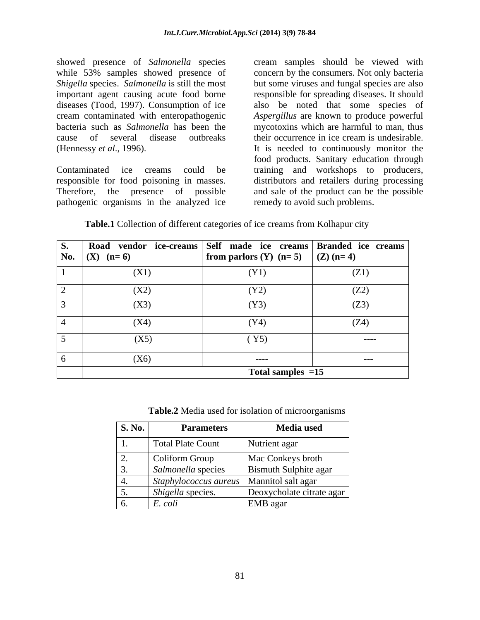showed presence of *Salmonella* species while 53% samples showed presence of concern by the consumers. Not only bacteria *Shigella* species. *Salmonella* is still the most but some viruses and fungal species are also important agent causing acute food borne responsible for spreading diseases. It should diseases (Tood, 1997). Consumption of ice also be noted that some species of cream contaminated with enteropathogenic *Aspergillus* are known to produce powerful bacteria such as *Salmonella* has been the mycotoxins which are harmful to man, thus cause of several disease outbreaks their occurrence in ice cream is undesirable.

pathogenic organisms in the analyzed ice

(Hennessy *et al*., 1996). It is needed to continuously monitor the Contaminated ice creams could be training and workshops to producers, responsible for food poisoning in masses. distributors and retailers during processing Therefore, the presence of possible and sale of the product can be the possible cream samples should be viewed with food products. Sanitary education through remedy to avoid such problems.

| S.   Road vendor ice-creams Self made ice creams Branded ice creams<br><b>No.</b> $(X)$ ( <b>n</b> =6) | from parlors (Y) $(n=5)$ $ (Z)(n=4)$ |       |
|--------------------------------------------------------------------------------------------------------|--------------------------------------|-------|
| (X1)                                                                                                   | (Y1)                                 | (Z1)  |
| (X2)                                                                                                   | (Y2)                                 | (Z2)  |
| (X3)                                                                                                   | (Y3)                                 | (Z3)  |
| (X4)                                                                                                   | (Y <sup>4</sup> )                    | (Z4)  |
| (X5)                                                                                                   | (Y5)                                 | $---$ |
| (X6)                                                                                                   | -----                                | $---$ |
| Total samples $=15$                                                                                    |                                      |       |

**Table.1** Collection of different categories of ice creams from Kolhapur city

**Table.2** Media used for isolation of microorganisms

| <b>S. No.</b>    | <b>Parameters</b>              | <b>Media</b> used         |
|------------------|--------------------------------|---------------------------|
|                  | Total Plate Count              | Nutrient agar             |
| <u>L.</u>        | Coliform Group                 | Mac Conkeys broth         |
|                  | Salmonella species             | Bismuth Sulphite agar     |
|                  | $\left $ Staphylococcus aureus | Mannitol salt agar        |
| $\epsilon$<br>◡. | Shigella species.              | Deoxycholate citrate agar |
| $\mathbf{b}$ .   | E. coli                        | EMB agar                  |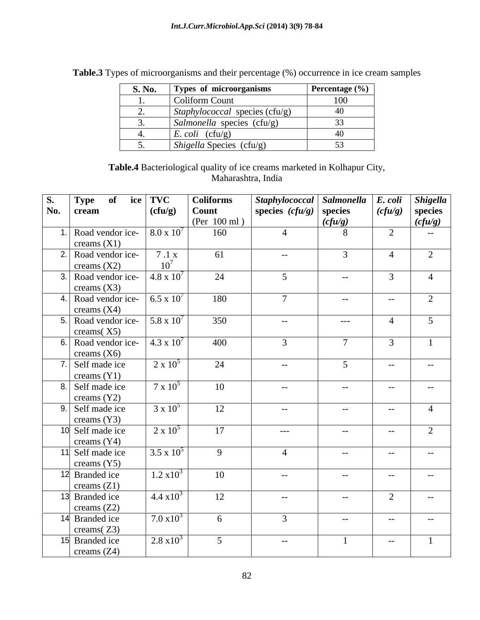| <b>S. No.</b> | Types of microorganisms               | Percentage (%) |
|---------------|---------------------------------------|----------------|
|               | Coliform Count                        | 100            |
|               | <i>Staphylococcal</i> species (cfu/g) |                |
|               | <i>Salmonella</i> species (cfu/g)     |                |
|               | (cfu/g)<br>E. coli                    |                |
|               | <i>Shigella Species (cfu/g)</i>       |                |

**Table.3** Types of microorganisms and their percentage (%) occurrence in ice cream samples

**Table.4** Bacteriological quality of ice creams marketed in Kolhapur City, Maharashtra, India

| S <sub>1</sub> | $\vert$ Type        | of | ice TVC              | <b>Coliforms</b> | Staphylococcal Salmonella E. coli Shigella |                 |                |                             |
|----------------|---------------------|----|----------------------|------------------|--------------------------------------------|-----------------|----------------|-----------------------------|
|                | No.<br>cream        |    | (cfu/g)              | Count            | species $(cfu/g)$ species                  |                 |                | $(cfu/g)$ species           |
|                |                     |    |                      | (Per $100$ ml)   |                                            | $\int cfu/g$    |                | $\int_{0}^{\infty}$ (cfu/g) |
|                | 1. Road vendor ice- |    | $8.0 \times 10^7$    | 160              |                                            | 8               | 2              | $ -$                        |
|                | creams $(X1)$       |    |                      |                  |                                            |                 |                |                             |
|                | 2. Road vendor ice- |    | 7.1 x                | 61               | $\sim$ $\sim$                              | $\mathbf{3}$    | -4             | 2                           |
|                | creams $(X2)$       |    | $10^7$               |                  |                                            |                 |                |                             |
|                | 3. Road vendor ice- |    | $4.8 \times 10^7$    | 24               | 5 <sup>5</sup>                             | $\sim$ $\sim$   | $\mathbf{3}$   | $\overline{4}$              |
|                | creams $(X3)$       |    |                      |                  |                                            |                 |                |                             |
|                | 4. Road vendor ice- |    | 6.5 x $10^7$         | 180              | $\mathcal{L}$                              | $\sim$ $-$      | $-$            | 2                           |
|                | creams $(X4)$       |    |                      |                  |                                            |                 |                |                             |
|                | 5. Road vendor ice- |    | $5.8 \times 10^7$    | 350              | $\sim$ $\sim$                              | $---$           | $\overline{4}$ | 5 <sup>5</sup>              |
|                | creams $(X5)$       |    |                      |                  |                                            |                 |                |                             |
|                | 6. Road vendor ice- |    | $4.3 \times 10^{7}$  | 400              | 3                                          | $\tau$          | $\mathbf{3}$   |                             |
|                | creams $(X6)$       |    |                      |                  |                                            |                 |                |                             |
|                | 7. Self made ice    |    | $2 \times 10^5$      | 24               | $\sim$ $\sim$                              | $5\overline{)}$ | $  \,$         | $\sim$ $\sim$               |
|                | creams $(Y1)$       |    |                      |                  |                                            |                 |                |                             |
|                | 8. Self made ice    |    | $7 \times 10^5$      | 10               | $  \,$                                     | $\sim$ $-$      | $- -$          | $ -$                        |
|                | creams $(Y2)$       |    |                      |                  |                                            |                 |                |                             |
|                | 9. Self made ice    |    | $3 \times 10^5$      | 12               | $\sim$ $\sim$                              | $\sim$ $-$      | $-$            | $\overline{4}$              |
|                | creams $(Y3)$       |    |                      |                  |                                            |                 |                |                             |
|                | 10 Self made ice    |    | $2 \times 10^5$      | 17               | $---$                                      | $\sim$ $-$      | $-$            | 2                           |
|                | creams $(Y4)$       |    |                      |                  |                                            |                 |                |                             |
|                | 11 Self made ice    |    | $3.5 \times 10^5$    | $\overline{9}$   |                                            | $\sim$ $-$      | $-$            | $\sim$ $\sim$               |
|                | creams $(Y5)$       |    |                      |                  |                                            |                 |                |                             |
|                | 12 Branded ice      |    | $1.2 \times 10^3$    | 10               | $  \,$                                     | $\sim$ $-$      | $  \,$         | $\sim$ $\sim$               |
|                | creams $(Z1)$       |    |                      |                  |                                            |                 |                |                             |
|                | 13 Branded ice      |    | $4.4 \times 10^3$    | 12               | $\sim$ $\sim$                              | $\sim$ $-$      | 2              | $\sim$ $\sim$               |
|                | creams $(Z2)$       |    |                      |                  |                                            |                 |                |                             |
|                | 14 Branded ice      |    | 7.0 x10 <sup>3</sup> | 6                | $\mathcal{E}$                              | $\sim$ $ \sim$  | $\sim$ $-$     | $ -$                        |
|                | creams $(Z3)$       |    |                      |                  |                                            |                 |                |                             |
|                | 15 Branded ice      |    | $2.8 \times 10^3$    | $5\overline{)}$  | $  \,$                                     |                 | $\sim$ $-$     |                             |
|                | creams $(Z4)$       |    |                      |                  |                                            |                 |                |                             |
|                |                     |    |                      |                  |                                            |                 |                |                             |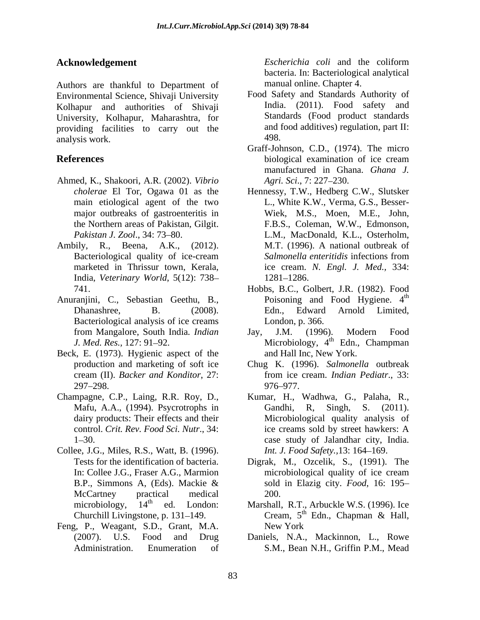Authors are thankful to Department of Environmental Science, Shivaji University Kolhapur and authorities of Shivaji University, Kolhapur, Maharashtra, for providing facilities to carry out the analysis work 498. analysis work.

- Ahmed, K., Shakoori, A.R. (2002). *Vibrio*
- India, *Veterinary World*, 5(12): 738
- Anuranjini, C., Sebastian Geethu, B.,
- Beck, E. (1973). Hygienic aspect of the
- 
- Collee, J.G., Miles, R.S., Watt, B. (1996).
- Feng, P., Weagant, S.D., Grant, M.A.

**Acknowledgement** Escherichia coli and the coliform *Escherichia coli* and the coliform bacteria. In: Bacteriological analytical manual online. Chapter 4.

- Food Safety and Standards Authority of India. (2011). Food safety and Standards (Food product standards and food additives) regulation, part II: 498.
- **References** biological examination of ice cream Graff-Johnson, C.D., (1974). The micro biological examination of ice cream manufactured in Ghana. *Ghana J. Agri. Sci*., 7: 227 230.
- *cholerae* El Tor, Ogawa 01 as the Hennessy, T.W., Hedberg C.W., Slutsker main etiological agent of the two L., White K.W., Verma, G.S., Besser major outbreaks of gastroenteritis in Wiek, M.S., Moen, M.E., John, the Northern areas of Pakistan, Gilgit. F.B.S., Coleman, W.W., Edmonson, Pakistan J. Zool., 34: 73–80. L.M., MacDonald, K.L., Osterholm, Ambily, R., Beena, A.K., (2012). M.T. (1996). A national outbreak of Bacteriological quality of ice-cream Salmonella enteritidis infections from marketed in Thrissur town, Kerala, ice cream. *N. Engl. J. Med.,* 334: M.T. (1996). A national outbreak of *Salmonella enteritidis* infections from 1281 1286.
	- 741. Hobbs, B.C., Golbert, J.R. (1982). Food Dhanashree, B. (2008). Edn., Edward Arnold Limited,<br>Bacteriological analysis of ice creams London, p. 366. Poisoning and Food Hygiene.  $4<sup>th</sup>$ the contract of the contract of the contract of the contract of the contract of the contract of the contract of the contract of the contract of the contract of the contract of the contract of the contract of the contract o Edn., Edward Arnold Limited, London, p. 366.
	- from Mangalore, South India*. Indian J. Med. Res.,* 127: 91–92. Microbiology, 4<sup>th</sup> Edn., Champman Jay, J.M. (1996). Modern Food <sup>th</sup> Edn., Champman and Hall Inc, New York.
	- production and marketing of soft ice Chug K. (1996). *Salmonella* outbreak cream (II). *Backer and Konditor*, 27: 297 298. from ice cream. *Indian Pediatr.*, 33:<br>976–977.
- Champagne, C.P., Laing, R.R. Roy, D., Kumar, H., Wadhwa, G., Palaha, R., Mafu, A.A., (1994). Psycrotrophs in Gandhi, R, Singh, S. (2011). dairy products: Their effects and their Microbiological quality analysis of control. *Crit. Rev. Food Sci. Nutr*., 34: 1 30. case study of Jalandhar city, India. Gandhi, R, Singh, S. (2011). ice creams sold by street hawkers: A *Int. J. Food Safety.*, 13: 164–169.
	- Tests for the identification of bacteria. Digrak, M., Ozcelik, S., (1991). The In: Collee J.G., Fraser A.G., Marmion<br>
	B.P., Simmons A, (Eds). Mackie & sold in Elazig city. *Food*, 16: 195– B.P., Simmons A, (Eds). Mackie & sold in Elazig city. *Food*, 16: 195– McCartney practical medical 200. microbiological quality of ice cream sold in Elazig city. *Food*, 16: 195 200.
	- microbiology, 14<sup>th</sup> ed. London: Marshall, R.T., Arbuckle W.S. (1996). Ice Churchill Livingstone, p. 131–149. Cream, 5<sup>th</sup> Edn., Chapman & Hall, <sup>th</sup> Edn., Chapman & Hall, New York
	- (2007). U.S. Food and Drug Daniels, N.A., Mackinnon, L., Rowe Administration. Enumeration of S.M., Bean N.H., Griffin P.M., Mead